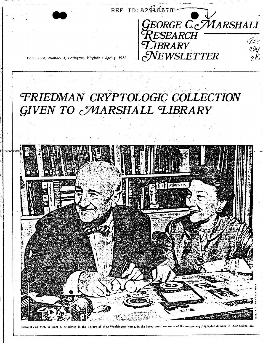

## FRIEDMAN CRYPTOLOGIC COLLECTION **GIVEN TO MARSHALL LIBRARY**



Colonel and Mrs. William F. Friedman in the library of the.r Washington home. In the foreground are some of the unique cryptographic devices in their Collection.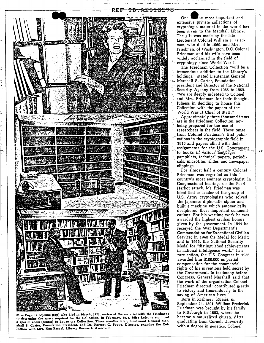

Miss Eugenia Lejeune (top) who died in March, 1971, reviewed the material with the Friedmans to determine the space required for the Collection. In February, 1971, Miss Lejeune equipped a special room (center) to house the Collection. Three months later, Lieutenant General Marshall S. Carter, Foundation President, and Dr. Forrest C. Pogue, Director, examine the Collection with Mrs. Nan Pascal, Library Research Assistant.

 $One<sub>0</sub>$ the most important and extensive private collections of cryptologic material in the world has been given to the Marshall Library. The gift was made by the late Lieutenant Colonel William F. Friedman, who died in 1969, and Mrs. Friedman, of Washington, D.C. Colonel Friedman and his wife have been widely acclaimed in the field of cryptology since World War I.

The Friedman Collection "will be a tremendous addition to the Library's holdings." stated Lieutenant General Marshall S. Carter, Foundation president and Director of the National .<br>Security Agency from 1965 to 1969. "We are deeply indebted to Colonel and Mrs. Friedman for their thoughtfulness in deciding to house this Collection with the papers of the World War II Chief of Staff."

Approximately three thousand items are in the Friedman Collection, now being prepared for the use of researchers in the field. These range from Colonel Friedman's first publications in the cryptographic field in 1916 and papers allied with their assignments for the U.S. Government to books in various languages; pamphlets, technical papers, periodicals, microfilm, slides and newspaper clippings.

For almost half a century Colonel Friedman was regarded as this country's most eminent cryptologist. In Congressional hearings on the Pearl Harbor attack, Mr. Friedman was identified as leader of the group of U.S. Army cryptologists who solved the Japanese diplomatic cipher and built a machine which automatically deciphered these important communications. For his wartime work he was awarded the highest civilian honors given by the government. In 1944 he received the War Department's Commendation for Exceptional Civilian Service; in 1946 the Medal for Merit; and in 1955, the National Security Medal for "distinguished achievements in national intelligence work." In a rare action, the U.S. Congress in 1956 awarded him \$100,000 as partial compensation for the commercial rights of his inventions held secret by the Government. In testimony before Congress, General Marshall said that the work of the organization Colonel<br>Friedman directed "contributed greatly to victory and tremendously to the<br>saving of American lives."

Born in Kishinev, Russia, on September 24, 1891, William Frederick Friedman was brought by his family to Pittsburgh in 1893, where he became a naturalized citizen. After graduating from Cornell University with a degree in genetics, Colonel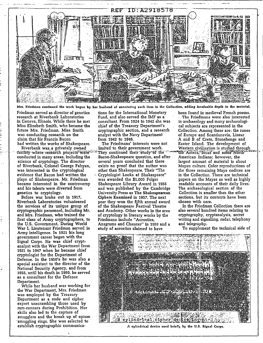

Friedman continued the work begun by her husband of annotating each item in the Collection, adding invaluable depth to the material.

Friedman served as director of genetics research at Riverbank Laboratories in Geneva. Illinois. While there he met Miss Elizebeth Smith, who became the future Mrs. Friedman. Miss Smith was conducting research on the claim that Sir Francis Bacon had written the works of Shakespeare.

Riverbank was a privately owned facility where research projects were in conducted in many areas, including the science of cryptology. The director of Riverbank, Colonel George Fabyan. was interested in the cryptological evidence that Bacon had written the plays of Shakespeare. Mr. Friedman became interested in the controversy and his talents were diverted from genetics to cryptology.

Before war broke out in 1917, Riverbank Laboratories volunteered the services of its unique group of cryptographic personnel, including Mr. and Mrs. Friedman, who trained the first class of Army cryptographers, to the U.S. Government. During World War I, Lieutenant Friedman served in Army intelligence. In 1921 his long government career began with the Signal Corps. He was chief cryptanalyst with the War Department from 1921 to 1947 when he became chief cryptologist for the Department of Defense. In the 1950's he was also a special assistant to the director of the National Security Agency, and from 1955, until his death in 1969, he served as a consultant for the Defense Department.

While her husband was working for the War Department, Mrs. Friedman was employed by the Treasury Department as a code and cipher expert unscrambling those used by rum-runners during Prohibition. Her skills also led to the capture of smugglers and the break up of opium 'smuggling rings. She was selected to establish cryptographic communications for the International Monetary

Fund, and also served the IMF as a consultant. From 1924 to 1942 she was chief of the Treasury Department's cryptographic section, and a research analyst with the Navy Department from 1942 to 1946.

The Friedmans' interests were not limited to their government work. They continued their study of the Bacon-Shakespeare question, and after several years concluded that there exists no proof that the author was other than Shakespeare. Their "The Cryptologist Looks at Shakespeare" was awarded the \$1,000 Folger Shakespeare Library Award in 1955 and was published by the Cambridge University Press as The Shakespearean Ciphers Examined in 1957. The next year they won the fifth annual award of the Shakespeare Festival Theatre and Academy. Other works in the area of cryptology in literary works by the Friedmans include "Acrostics. Anagrams and Chaucer" in 1959 and a study of acrostics claimed to have

been found in medieval French poems. The Friedmans were also interested in archaeology and many archaeological subjects are represented in the Collection. Among these are: the runes of Europe and Scandanavia, Linear A and B of Crete, Stonehenge and Easter Island. The development of Western civilization is studied through the Aztecs, Incas and some North American Indians: however, the largest amount of material is about Mayan culture. Color reproductions of the three remaining Maya codices are in the Collection. There are technical papers on the Mayas as well as highly readable accounts of their daily lives. The archaeological section of the Collection is smaller than the other sections, but its contents have been chosen with care.

In the Friedman Collection there are also several hundred items relating to cryptography, cryptanalysis, secret writing and signalling, radar, telephony and telegraphy.

To supplement the technical side of



A cylindrical device used briefly by the U.S. Signal Corps.